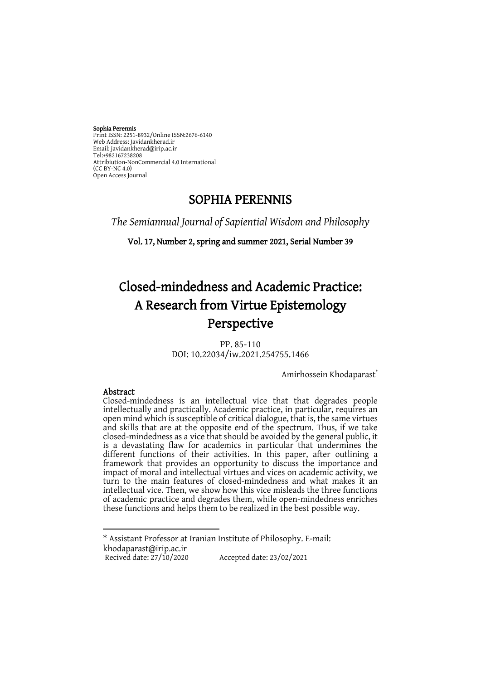#### Sophia Perennis

Print ISSN: 2251-8932/Online ISSN:2676-6140 Web Address: Javidankherad.ir Email[: javidankherad@irip.ac.ir](mailto:javidankherad@irip.ac.ir) [Tel:+982167238208](tel:+982167238208) Attribiution-NonCommercial 4.0 International (CC BY-NC 4.0) Open Access Journal

## SOPHIA PERENNIS

*The Semiannual Journal of Sapiential Wisdom and Philosophy*

Vol. 17, Number 2, spring and summer 2021, Serial Number 39

# Closed-mindedness and Academic Practice: A Research from Virtue Epistemology Perspective

PP. 85-110 DOI: 10.22034/iw.2021.254755.1466

Amirhossein Khodaparast\*

#### Abstract

**.** 

Closed-mindedness is an intellectual vice that that degrades people intellectually and practically. Academic practice, in particular, requires an open mind which is susceptible of critical dialogue, that is, the same virtues and skills that are at the opposite end of the spectrum. Thus, if we take closed-mindedness as a vice that should be avoided by the general public, it is a devastating flaw for academics in particular that undermines the different functions of their activities. In this paper, after outlining a framework that provides an opportunity to discuss the importance and impact of moral and intellectual virtues and vices on academic activity, we turn to the main features of closed-mindedness and what makes it an intellectual vice. Then, we show how this vice misleads the three functions of academic practice and degrades them, while open-mindedness enriches these functions and helps them to be realized in the best possible way.

\* Assistant Professor at Iranian Institute of Philosophy. E-mail: [khodaparast@i](mailto:khodaparast.amir@gmail.com)rip.ac.ir Accepted date: 23/02/2021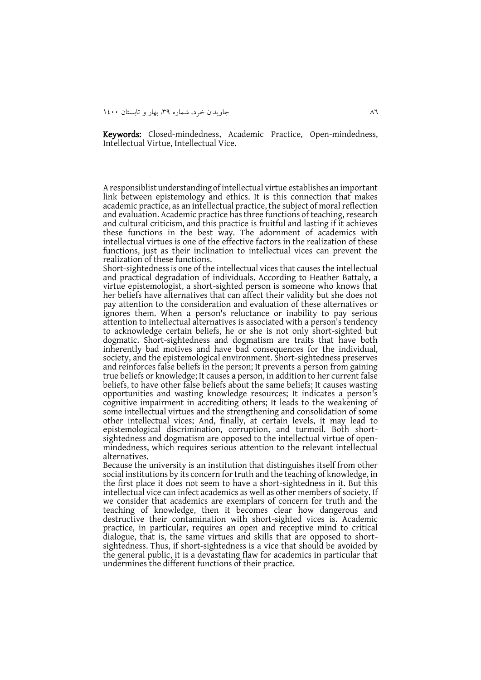Keywords: Closed-mindedness, Academic Practice, Open-mindedness, Intellectual Virtue, Intellectual Vice.

A responsiblist understanding of intellectual virtue establishes an important link between epistemology and ethics. It is this connection that makes academic practice, as an intellectual practice, the subject of moral reflection and evaluation. Academic practice has three functions of teaching, research and cultural criticism, and this practice is fruitful and lasting if it achieves these functions in the best way. The adornment of academics with intellectual virtues is one of the effective factors in the realization of these functions, just as their inclination to intellectual vices can prevent the realization of these functions.

Short-sightedness is one of the intellectual vices that causes the intellectual and practical degradation of individuals. According to Heather Battaly, a virtue epistemologist, a short-sighted person is someone who knows that her beliefs have alternatives that can affect their validity but she does not pay attention to the consideration and evaluation of these alternatives or ignores them. When a person's reluctance or inability to pay serious attention to intellectual alternatives is associated with a person's tendency to acknowledge certain beliefs, he or she is not only short-sighted but dogmatic. Short-sightedness and dogmatism are traits that have both inherently bad motives and have bad consequences for the individual, society, and the epistemological environment. Short-sightedness preserves and reinforces false beliefs in the person; It prevents a person from gaining true beliefs or knowledge; It causes a person, in addition to her current false beliefs, to have other false beliefs about the same beliefs; It causes wasting opportunities and wasting knowledge resources; It indicates a person's cognitive impairment in accrediting others; It leads to the weakening of some intellectual virtues and the strengthening and consolidation of some other intellectual vices; And, finally, at certain levels, it may lead to epistemological discrimination, corruption, and turmoil. Both shortsightedness and dogmatism are opposed to the intellectual virtue of openmindedness, which requires serious attention to the relevant intellectual alternatives.

Because the university is an institution that distinguishes itself from other social institutions by its concern for truth and the teaching of knowledge, in the first place it does not seem to have a short-sightedness in it. But this intellectual vice can infect academics as well as other members of society. If we consider that academics are exemplars of concern for truth and the teaching of knowledge, then it becomes clear how dangerous and destructive their contamination with short-sighted vices is. Academic practice, in particular, requires an open and receptive mind to critical dialogue, that is, the same virtues and skills that are opposed to shortsightedness. Thus, if short-sightedness is a vice that should be avoided by the general public, it is a devastating flaw for academics in particular that undermines the different functions of their practice.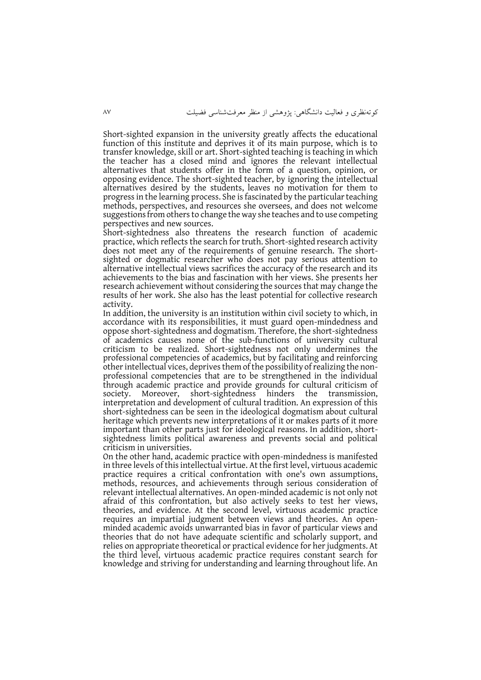Short-sighted expansion in the university greatly affects the educational function of this institute and deprives it of its main purpose, which is to transfer knowledge, skill or art. Short-sighted teaching is teaching in which the teacher has a closed mind and ignores the relevant intellectual alternatives that students offer in the form of a question, opinion, or opposing evidence. The short-sighted teacher, by ignoring the intellectual alternatives desired by the students, leaves no motivation for them to progress in the learning process. She is fascinated by the particular teaching methods, perspectives, and resources she oversees, and does not welcome suggestions from others to change the way she teaches and to use competing perspectives and new sources.

Short-sightedness also threatens the research function of academic practice, which reflects the search for truth. Short-sighted research activity does not meet any of the requirements of genuine research. The shortsighted or dogmatic researcher who does not pay serious attention to alternative intellectual views sacrifices the accuracy of the research and its achievements to the bias and fascination with her views. She presents her research achievement without considering the sources that may change the results of her work. She also has the least potential for collective research activity.

In addition, the university is an institution within civil society to which, in accordance with its responsibilities, it must guard open-mindedness and oppose short-sightedness and dogmatism. Therefore, the short-sightedness of academics causes none of the sub-functions of university cultural criticism to be realized. Short-sightedness not only undermines the professional competencies of academics, but by facilitating and reinforcing other intellectual vices, deprives them of the possibility of realizing the nonprofessional competencies that are to be strengthened in the individual through academic practice and provide grounds for cultural criticism of society. Moreover, short-sightedness hinders the transmission, interpretation and development of cultural tradition. An expression of this short-sightedness can be seen in the ideological dogmatism about cultural heritage which prevents new interpretations of it or makes parts of it more important than other parts just for ideological reasons. In addition, shortsightedness limits political awareness and prevents social and political criticism in universities.

On the other hand, academic practice with open-mindedness is manifested in three levels of this intellectual virtue. At the first level, virtuous academic practice requires a critical confrontation with one's own assumptions, methods, resources, and achievements through serious consideration of relevant intellectual alternatives. An open-minded academic is not only not afraid of this confrontation, but also actively seeks to test her views, theories, and evidence. At the second level, virtuous academic practice requires an impartial judgment between views and theories. An openminded academic avoids unwarranted bias in favor of particular views and theories that do not have adequate scientific and scholarly support, and relies on appropriate theoretical or practical evidence for her judgments. At the third level, virtuous academic practice requires constant search for knowledge and striving for understanding and learning throughout life. An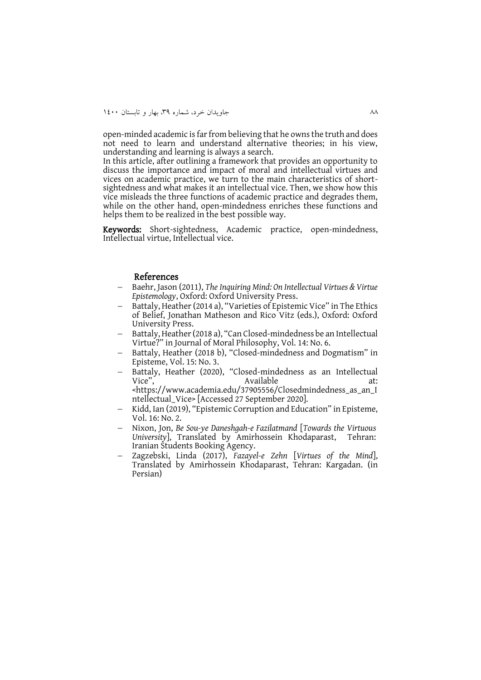open-minded academic is far from believing that he owns the truth and does not need to learn and understand alternative theories; in his view, understanding and learning is always a search.

In this article, after outlining a framework that provides an opportunity to discuss the importance and impact of moral and intellectual virtues and vices on academic practice, we turn to the main characteristics of shortsightedness and what makes it an intellectual vice. Then, we show how this vice misleads the three functions of academic practice and degrades them, while on the other hand, open-mindedness enriches these functions and helps them to be realized in the best possible way.

Keywords: Short-sightedness, Academic practice, open-mindedness, Intellectual virtue, Intellectual vice.

#### References

- Baehr, Jason (2011), *The Inquiring Mind: On Intellectual Virtues & Virtue Epistemology*, Oxford: Oxford University Press.
- Battaly, Heather (2014 a), "Varieties of Epistemic Vice" in The Ethics of Belief, Jonathan Matheson and Rico Vitz (eds.), Oxford: Oxford University Press.
- Battaly, Heather (2018 a), "Can Closed-mindedness be an Intellectual Virtue?" in Journal of Moral Philosophy, Vol. 14: No. 6.
- Battaly, Heather (2018 b), "Closed-mindedness and Dogmatism" in Episteme, Vol. 15: No. 3.
- Battaly, Heather (2020), "Closed-mindedness as an Intellectual Vice",  $\overline{a}$  Available  $\overline{a}$  at: <https://www.academia.edu/37905556/Closedmindedness\_as\_an\_I
- ntellectual\_Vice> [Accessed 27 September 2020].
- Kidd, Ian (2019), "Epistemic Corruption and Education" in Episteme, Vol. 16: No. 2.
- Nixon, Jon, *Be Sou-ye Daneshgah-e Fazilatmand* [*Towards the Virtuous University*], Translated by Amirhossein Khodaparast, Iranian Students Booking Agency.
- Zagzebski, Linda (2017), *Fazayel-e Zehn* [*Virtues of the Mind*], Translated by Amirhossein Khodaparast, Tehran: Kargadan. (in Persian)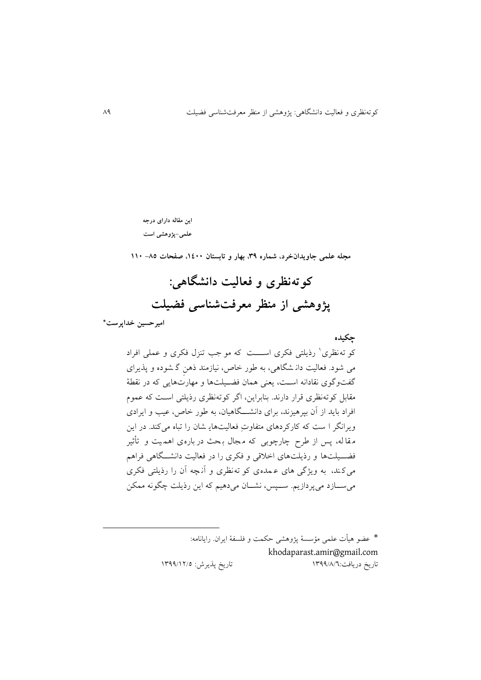**این مقاله دارای درجه علمی-پژوهشی است**

**مجله علمی جاویدانخرد، شماره ،93 بهار و تابستان ،0011 صفحات -58 001**

**کوتهنظری و فعالیت دانشگاهی: پژوهشی از منظر معرفتشناسی فضیلت**

**امیرحسین خداپرست\***

1

**چکیده** کو ته نظری ٔ رذیلتی فکری اســـت که مو جب تنزل فکری و عملی افراد می شود. فعالیت دان شگاهی، به طور خاص، نیازمند ذهن گ شوده و پذيرای گفتوگوی نقادانه استت، يعنی همان فضتیلتها و مهارتهايی که در نقطة مقابل کوتهنظری قرار دارند. بنابراين، اگر کوتهنظری رذيلتی استت که یمو م افراد بايد از آن بپرهيزند، برای دانشـــگاهيان، به طور خاص، عيب و ايرادی ويرانگر ا ست که کارکردهای متفاوتِ فعالیتهاي شان را تباه میکند. در اين مقا له، پس از طرح چارچوبی که مجال بـحث در باره ی اهمـیت و تأثیر فضــيلتها و رذيلتهای اخلاقی و فکری را در فعاليت دانشــگاهی فراهم میک ند، به ويژگی های ی مده ی کو ته نظری و آن چه آن را رذيلتی فکری می ســازد میپردازيم. ســپس، نشــان میدهیم که اين رذيلت چگونه ممکن

> \* یضو هیأت یلمی مؤسسة پژوهشی حکمت و فلسفة ايران. رايانامه: [khodaparast.amir@gmail.com](mailto:khodaparast.amir@gmail.com) تاريخ دريافت:١٣٩٩/٨/٦ ١٢٩٩/٨/٩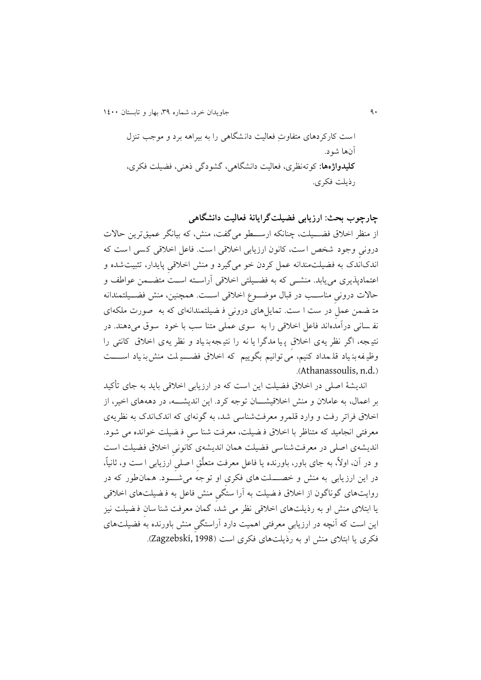31 جاويدان خرد، شماره ،93 بهار و تابستان 0011

است کارکردهای متفاوتِ فعالیت دان شگاهی را به بیراهه برد و موجن تنفک آنها شود. **کلیدواژهها:** کوتهنظری، فعالیت دانشگاهی، گشودگی ذهنی، فضیلت فکری، رذيلت فکری.

**چارچوب بحث: ارزیابی فضیلتگرایانة فعالیت دانشگاهی**  از منظر اخالق فضتتیلت، چنانکه ارستتطو میگفت، منش، که بیانگر یمیقترين حاالت درونی وجود شخص ا ست، کانون ارزيابی اخالقی ا ست. فایل اخالقی ک سی ا ست که اندکاندک به فضیلت مندانه یمل کردن خو میگیرد و منش اخالقی پايدار، تثبیتشده و اعتمادپذيری می يابد. منشــي که به فضــيلتی اخلاقی آراسـته اسـت متضــمن عواطف و حالات درونی مناســب در قبال موضــوع اخلاقی اســت. همچنین، منش فضـــیلتمندانه مت ضمن یمل در ست ا ست. تمايل های درونی ف ضیلتمندانه ای که به صورت ملکه ای نفه سانی درآمدهاند فاعل اخلاقی را به سوی عملی متنا سب با خود سوق می دهند. در نتی جه، اگر نظر يه ی اخالق پ یا مدگرا يا نه را نتی جه بن یاد و نظر يه ی اخالق کانتی را وظیفه بن یاد قل مداد کنیم، مَی توانیم بگوییم که اخلاق فضــــی لمت منش بن یاد اســــت .(Athanassoulis, n.d.)

انديشهٔ اصلی در اخلاق فضیلت این است که در ارزیابی اخلاقی باید به جای تأکید بر ایماک، به یامالن و منش اخالقیشتتتان توجه کرد. اين انديشتتته، در دهههای اخیر، از اخالق فراتر رفت و وارد قلمرو معرفتشناسی شد، به گونهای که اندکاندک به نظريهی معرفتی انجامید که متناظر با اخالق ف ضیلت، معرفت شنا سی ف ضیلت خوانده می شود. اندیشهی اصلی در معرفت شناسی فضیلت همان اندیشهی کانونی اخلاق فضیلت است و در آن، اوال،ً به جای باور، باورنده يا فایل معرفت متعلَّق ا صلی ارزيابی ا ست و، ثانیا،ً در اين ارزيابی به منش و خصتتتلت های فکری او توجه می شتتتود. همان طور که در روايتهای گوناگون از اخالق ف ضیلت به آرا ستگی منش فایل به ف ضیلت های اخالقی يا ابتالی منش او به رذيلتهای اخالقی نظر می شد، گمان معرفت شنا سان ف ضیلت نی ف اين است که آنچه در ارزيابی معرفتی اهمیت دارد آراستگی منش باورنده به فضیلتهای فکری يا ابتالی منش او به رذيلتهای فکری است )1998 ,Zagzebski).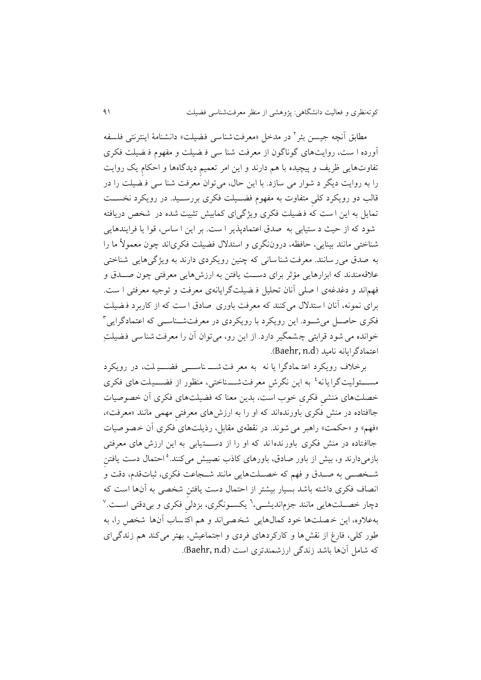مطابق انچه جیسن بئر <sup>1</sup> در مدخل «معرفتشناس<sub>ی</sub> فضیلت» دانشنامهٔ اینترنتی فلسفه آورده ا ست، روايت های گوناگون از معرفت شنا سی ف ضیلت و مفهوم ف ضیلت فکری تفاوتهايی ظريف و پیچیده با هم دارند و اين امر تعمیم ديدگاهها و احکام يک روايت را به روايت ديگر د شوار می سازد. با اين حاک، می توان معرفت شنا سی ف ضیلت را در قالن دو رويکرد کلی متفاوت به مفهوم فضتتیلت فکری بررستتید. در رويکرد نخستتت تمايل به اين ا ست که ف ضیلت فکری ويژگی ای کمابیش تثبیت شده در شخص دريافته شود که از حیث د ستیابی به صدق ایتمادپذير ا ست. بر اين ا ساس، قوا يا فرايندهايی شناختی مانند بینايی، حافظه، دروننگری و استدالک فضیلت فکریاند چون معموالً ما را به صدق می ر سانند. معرفت شنا سانی که چنین رویکردی دارند به ویژگیهایی شناختی علاقهمندند که ابزارهايی مؤثر برای دستت يافتن به ارزشهايی معرفتی چون صـدق و فه اند و دغدغهی ا صلی آنان تحلیل ف ضیل تگرايانهی معرفت و توجیه معرفتی ا ست. برای نمونه، آنان ا ستدالک می کنند که معرفت باوری صادق ا ست که از کاربرد ف ضیلت <sup>9</sup>فکری حاصتل میشتود. اين رويکرد با رويکردی در معرفتشتناستی که ایتمادگرايی خوانده می شود قرابتی چشمگیر دارد. از این رو، می توان آن را معرفت شنا سی فضیلتِ .)Baehr, n.d( نامید ایتمادگرايانه

برخالف رويکرد ایت مادگرا يا نه به معر فت شتتت ناستتتی فضتتتی لت، در رويکرد مســــئولیتگرایانه ٔ به این نگرشِ معرفتشــــناختی، منظور از فضــــیلت های فکری خصلت های مَنشی فکری خوب است، بدين معنا که فضیلت های فکری آن خصوصیات جاافتاده در منش فکری باورنده اند که او را به ارزش های معرفتی مهمی مانند »معرفت «، «فهم» و «حکمت» راهبر می شوند. در نقطهی مقابل، رذیلتهای فکری آن خصوصیات جاافتاده در منش فکری باورنده اند که او را از دستتتتیابی به اين ارزش های معرفتی بازمیدارند و، بیش از باور صادق، باورهای کاذب نصیبش میکنند.<sup>ه</sup> احتمال دست یافتن<sub>ِ</sub> شتخصتی به صتدق و فهم که خصتلتهایی مانند شتجاعت فکری، ثباتقدم، دقت و انصاف فکری داشته باشد بسیار بیشتر از احتماک دست يافتن شخصی به آن ها است که دچار خصــلتهايی مانند جزم|نديشــی،<sup>٦</sup> يکســونگری، بزدل<sub>یِ</sub> فکری و بی0قتی اســت.<sup>٧</sup> بهیالوه، اين خ صلت ها خود کماکهايی شخ صی اند و ه اکت ساب آن ها شخص را، به طور کلی، فارغ از نقش ها و کارکردهای فردی و اجتماعیش، بهتر می کند هم زندگی ای که شامل آنها باشد زندگی ارزشمندتری است (Baehr, n.d).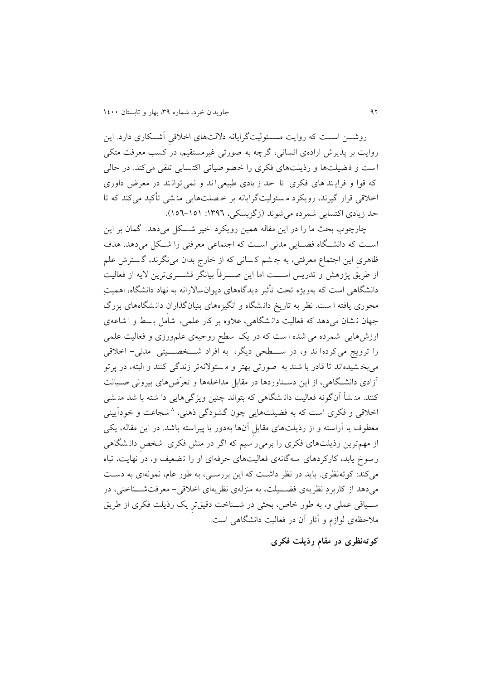روشـن اسـت که روايت مســئوليتگرايانه دلالتهای اخلاقی آشــکاری دارد. اين روايت بر پذيرش ارادهی انسانی، گرچه به صورتی غیرمستقیم، در کسب معرفت متکی ا ست و ف ضیلت ها و رذيلتهای فکری را خ صو صیاتی اکت سابی تلقی می کند. در حالی که قوا و فرايند های فکری تا حد زيادی طبيعی اند و نمی توانند در معرض داوری اخالقی قرار گیرند، رويکرد م سئولیت گرايانه بر خ صلت هايی من شی تأکید می کند که تا حد زيادي اکتسابي شمرده مي شوند (زگزبسکي، ١٣٩٦: ١٥١–١٥٦).

چارچوب بحث ما را در اين مقاله همین رويکرد اخیر شتتکل میدهد. گمان بر اين است که دانشتگاه فضایی مدنی است که اجتماعی معرفتی را شکل می دهد. هدف ظاهری اين اجتماع معرفتی، به چ شم کسانی که از خارج بدان می نگرند، گسترش علم از طريق پژوهش و تدريس اســـت اما اين صــــرفاً بيانگر قشــــریترين لايه از فعاليت دانشگاهی است که به ويژه تحت تأثیر ديدگاههای ديوانساالرانه به نهاد دانشگاه، اهمیتِ محوری يافته ا ست. نظر به تاريخ دانـشگاه و انگيزههای بنيانگذاران دانـشگاههای بزرگ جهان ن شان می دهد که فعالیت دان شگاهی، علاوه بر کار علمی، شامل بسط و ا شاعه ی ارزشهايی شمرده می شده ا ست که در يک سطح روحیه ی یل ورزی و فعالیت یلمی را ترويج می کردها ند و، در ســـطحی ديگر، به افراد شـــخصــــيتی مدنی- اخلاقی میبخ شیده اند تا قادر با شند به صورتی بهتر و م سئوالنه تر زندگی کنند و البته، در پرتو آزادی دانشتگاهی، از اين دستتاوردها در مقابل مداخلهها و تعرّضهای بیرونی صتیانت کنند. من شأ آن گونه فعالیت دان شگاهی که بتواند چنین ويژگی هايی دا شته با شد من شی خلاقی و فکری است که به فضیلتهایی چون گشودگی ذهنی، ^شجاعت و خودایینی معطوف يا آراسته و از رذيلت های مقابل آنها بهدور يا پیراسته باشد. در اين مقاله، يکی از مهمترين رذيلتهای فکری را برمی ِ سیم که اگر در منش فکری ًشخص دان شگاهی رسوخ يابد، کارکردهای سه گانهی فعالیتهای حرفهای او را تضعی و، در نهايت، تباه میکند: کوتهنظری. بايد در نظر داشتت که اين بررستی، به طور یام، نمونه ای به دستت میدهد از کاربردِ نظريهی فضتتیلت، به منفلهی نظريهای اخالقی- معرفتشتتناختی، در ستتیاقی یملی و، به طور خاص، بحثی در شتتناخت دقیق تر يک رذيلت فکری از طريق مالحظهی لوازم و آثار آن در فعالیت دانشگاهی است.

**کوتهنظری در مقام رذیلت فکری**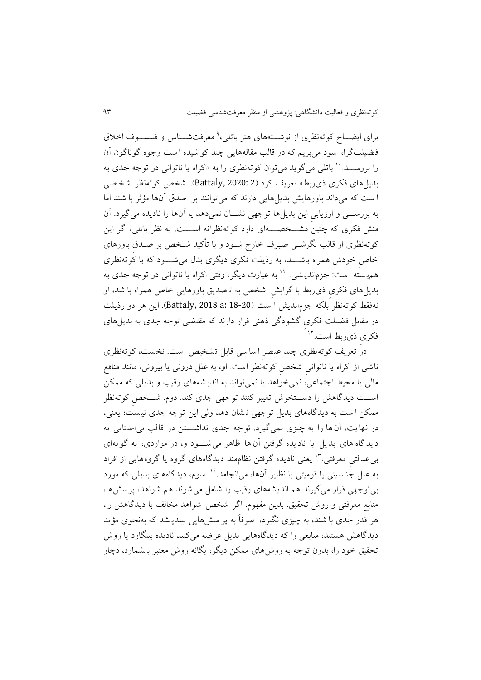برای ایضــاح کوتهنظری از نوشـــتههای هتر باتلی،'` معرفتشـــناس و فیلســـوف اخلاق فضیلتگرا، سود می بریم که در قالب مقالههایی چند کو شیده ا ست وجوه گوناگون آن را بررســد. `` باتلی میگوید میتوان کوتهنظری را به «اکراه یا ناتوانی در توجه جدی به بديل های فکری ذی ربط» تعريف کرد (2 2020: 2) 2 20 شخص کوتهنظر شخصی ا ست که می داند باورهايش بديلهايی دارند که میتوانند بر صدق آن ها مؤثر با شند اما به بررستتی و ارزيابی اين بديلها توجهی نشتتان نمیدهد يا آنها را ناديده میگیرد. آن منش فکری که چنین مشتتتخصتتته ای دارد کوته نظرانه استتتت. به نظر باتلی، اگر اين کوتهنظری از قالن نگرشتی صتِرف خارج شتود و با تأکید شتخص بر صتدق باورهای خاص خودش همراه باشتتتد، به رذيلت فکری ديگری بدک می شتتتود که با کوته نظری هم,بسته است: جزم|ندیشی. `` به عبارت دیگر، وقتی اکراه یا ناتوانی در توجه جدی به بديلهای فکری ذیربط با گرايش شخص به ت صديق باورهايی خاص همراه با شد، او نهفقط کوتهنظر بلکه جفمانديش ا ست )18-20 :a 2018 ,Battaly). اين هر دو رذيلت در مقابل فضیلت فکری گشو دگی ذهنی قرار دارند که مقتضی توجه جدی به بديل های 01 فکری ذیربط است.

در تعریف کوتهنظری چند عنصر اساسی قابل تشخیص است. نخست، کوتهنظری ناشی از اکراه يا ناتوانی شخص کوته نظر است. او، به یلل درونی يا بیرونی، مانند منافع مالی يا محیط اجتمایی، نمیخواهد يا نمیتواند به انديشه های رقین و بديلی که ممکن اســت ديدگاهش را دســتخوش تغيير کنند توجهی جدی کند. دوم، شــخص کوتهنظر ممکن ا ست به ديدگاه های بديل توجهی ن شان دهد ولی اين توجه جدی نی ست ؛ يعنی، در نهايت، آن ها را به چیزی نمی گیرد. توجه جدی نداشتتن در قالب بی اعتنایی به ديدگاه های بديل يا ناديده گرفتن آن ها ظاهر می شتتتود و، در مواردی، به گونه ای بی عدالتیِ معرفتی،"' یعنی نادیده گرفتن نظام.ند دیدگاههای گروه یا گروههایی از افراد به علل جن سبتی یا قومیتی یا نظایر آنها، می|نجامد.<sup>۱۶</sup> سوم، دیدگاههای بدیلی که مورد بیتوجهی قرار می گیرند هم اندیشههای رقیب را شامل می شوند هم شواهد، پرسشها، منابع معرفتی و روش تحقیق. بدین مفهوم، اگر شخص شواهد مخالف با دیدگاهش را، هر قدر جدی با شند، به چیفی نگیرد، صرفاً به پر سش هايی بیندي شد که به نحوی مؤيد ديدگاهش هستند، منابعی را که ديدگاههايی بديل عرضه می کنند ناديده بينگارد يا روش تحقیق خود را، بدون توجه به روشهای ممکن ديگر، يگانه روش معتبر ب شمارد، دچار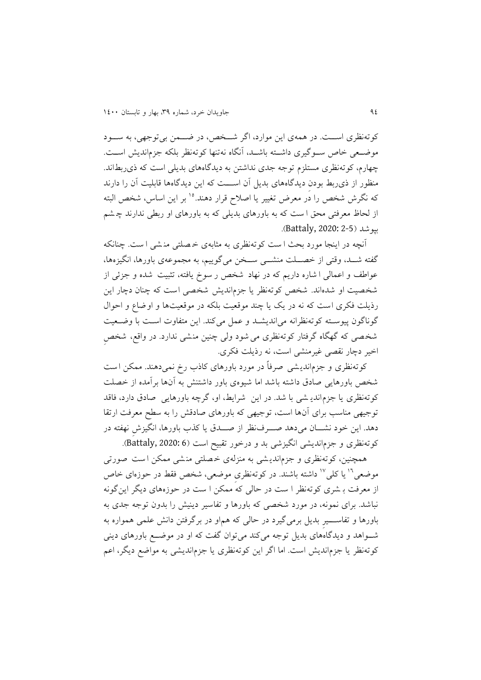کوتهنظری استتت. در همهی اين موارد، اگر شتتخص، در عتتمن بی توجهی، به ستتود موضـعی خاص ســوگیری داشــته باشــد، آنگاه نهتنها کوتهنظر بلکه جزم|ندیش اســت. چهارم، کوتهنظری مستلفم توجه جدی نداشتن به ديدگاههای بديلی است که ذیربطاند. منظور از ذیربط بودن ديدگاههای بديل آن اســـت که اين ديدگاهها قابليت آن را دارند که نگرش شخص را در معرض تغییر یا اصلاح قرار دهند.<sup>۱۰</sup> بر این اساس، شخص البته از لحاظ معرفتی محق ا ست که به باورهای بديلی که به باورهای او ربطی ندارند چ ش بپوشد )2-5 2020: ,Battaly).

آنچه در اينجا مورد بحث ا ست کوته نظری به مثابهی خ صلتی من شی ا ست. چنانکه گفته شــد، وقتی از خصــلت منشـــی ســخن میگوییم، به مجموعهی باورها، انگیزهها، عواطف و اعمالی ا شاره داريم که در نهاد شخص ر سوخ يافته، تثبيت شده و جزئی از شخصیت او شدهاند. شخص کوتهنظر يا جزمانديش شخصی است که چنان دچار اين رذيلت فکری است که نه در يک يا چند موقعيت بلکه در موقعيتها و اوضاع و احوال گوناگون پیوستته کوته نظرانه میانديشتد و یمل می کند. اين متفاوت استت با وعتعیت شخصی که گهگاه گرفتار کوته نظری میشود ولی چنین منشی ندارد. در واقع، شخص اخیر دچار نقصی غیرمنشی است، نه رذيلت فکری.

کوتهنظری و جزمانديشی صرفاً در مورد باورهای کاذب رخ نمیدهند. ممکن است شخص باورهايی صادق داشته باشد اما شیوه ی باور داشتنش به آن ها برآمده از خصلت کوتهنظری يا جفماندي شی با شد. در اين شرايط، او، گرچه باورهايی صادق دارد، فاقد توجیهی مناسن برای آنها است، توجیهی که باورهای صادقش را به سطح معرفت ارتقا دهد. اين خود نشـــان میدهد صــــرف نظر از صــــدق يا کذب باورها، انگيزش نهفته در کوتهنظری و جزم انديشی انگيزشی بد و درخور تقبيح است (6 Battaly, 2020: 6).

همچنین، کوتهنظری و جزماندیشی به منزلهی خصلتی منشی ممکن است صورتی موضعی<sup>۱۲</sup> یا کلی<sup>۱۷</sup> داشته باشند. در کوتهنظری موضعی، شخص فقط در حوزهای خاص از معرفت ب شری کوته نظر ا ست در حالی که ممکن ا ست در حوزه های ديگر اينگونه نباشد. برای نمونه، در مورد شخصی که باورها و تفاسیر دينیش را بدون توجه جدی به باورها و تفاســــیر بدیل برمیگیرد در حالی که هم|و در برگرفتن دانش علمی همواره به شتتواهد و ديدگاههای بديل توجه میکند میتوان گفت که او در موعتتع باورهای دينی کوتهنظر يا جزمانديش است. اما اگر اين کوتهنظری يا جزمانديشی به مواضع ديگر، اعم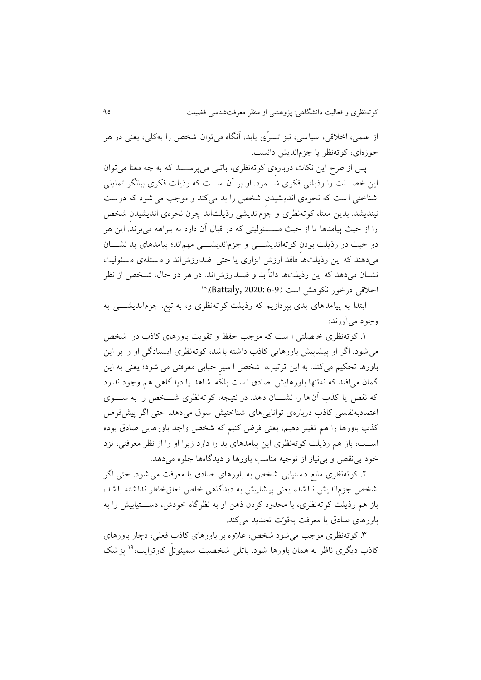از یلمی، اخالقی، سیاسی، نیف تسرّ ی يابد، آنگاه میتوان شخص را به کلی، يعنی در هر حوزهای، کوتهنظر يا جفمانديش دانست.

 پس از طرح اين نکات درباره ی کوته نظری، باتلی می پرستتتد که به چه معنا می توان اين خصـــلت را رذيلتی فکری شـــمرد. او بر آن اســـت که رذيلت فکری بيانگر تمايلی شناختی است که نحوهی اندیشیدن شخص را بد میکند و موجب می شود که در ست نینديشد. بدين معنا، کوتهنظری و جفمانديشی رذيلتاند چون نحوهی انديشیدن شخص را از حیث پیامدها يا از حیث مستتتئولیتی که در قباک آن دارد به بیراهه می برند. اين هر دو حیث در رذیلت بودن کوته اندیشتی و جزم اندیشتی مهم اند؛ پیامدهای بد نشسان می دهند که اين رذيلتها فاقد ارزش ابزاری يا حتی ضدارزش اند و مسئلهی مسئوليت نشتان میدهد که اين رذيلتها ذاتاً بد و عتدارزشاند. در هر دو حاک، شتخص از نظر <sup>06</sup> اخالقی درخور نکوهش است )6-9 2020: ,Battaly).

ابتدا به پیامدهای بدی بپردازیم که رذیلت کوته نظری و، به تبع، جزم اندیشت ی به وجود میآورند:

.0 کوتهنظری خ صلتی ا ست که موجن حفظ و تقويت باورهای کاذب در شخص میشود. اگر او پیشاپیش باورهايی کاذب داشته باشد، کوته نظری ايستادگی او را ب ر اين باورها تحکیم میکند. به این ترتیب، شخص ا سیر حبابی معرفتی می شود؛ یعنی به این گمان می افتد که نهتنها باورهايش صادق ا ست بلکه شاهد يا ديدگاهی هم وجود ندارد که نقص يا کذب آن ها را نشتتتان دهد. در نتیجه، کوته نظری شتتتخص را به ستتتوی اعتمادبهنفسی کاذب دربارهی تواناییهای شناختیش سوق می دهد. حتی اگر پیشفرض کذب باورها را هم تغییر دهیم، یعنی فرض کنیم که شخص واجد باورهایی صادق بوده اســت، باز هم رذيلت کوتهنظری اين پيامدهای بد را دارد زيرا او را از نظر معرفتی، نزد خود بینقص و بینیاز از توجیه مناسن باورها و ديدگاهها جلوه میدهد.

.1 کوتهنظری مانع د ستیابی شخص به باورهای صادق يا معرفت می شود. حتی ا گر شخص جزم انديش نبا شد، يعنی پيشاپيش به ديدگاهی خاص تعلقخاطر ندا شته با شد، باز هم رذيلت کوته نظری، با محدود کردن ذهن او به نظرگاه خودش، دســـتيابيش را به باورهای صادق يا معرفت بهقوّت تحديد میکند.

.9 کوتهنظری موجن میشود شخص، یالوه بر باورهای کاذب فعلی، دچار باورهای کاذب ديگری ناظر به همان باورها شود. باتلی شخصیت سمیئوئل کارترايت،<sup>۱۹</sup> يز شک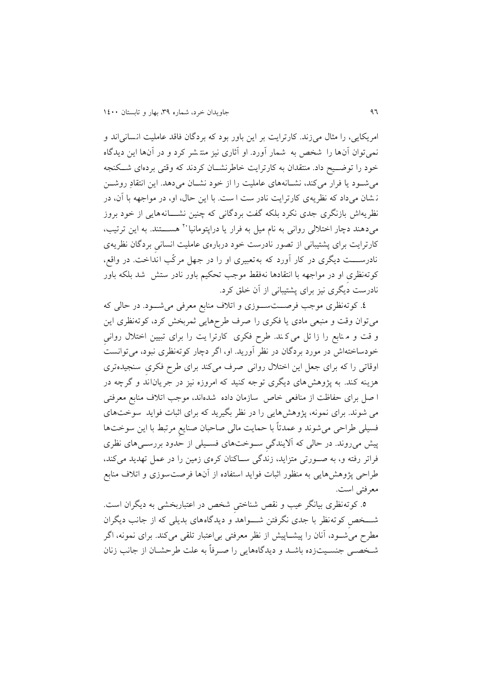امريکايی، را مثاک میزند. کارترايت بر اين باور بود که بردگان فاقد یاملیت انسانی اند و نمیتوان آنها را شخص به شمار آورد. او آثاری نیف منت شر کرد و در آن ها اين ديدگاه خود را توضــيح داد. منتقدان به کارترايت خاطرنشــان کردند که وقتی بردهای شــکنجه میشتود يا فرار میکند، نشتانههای یاملیت را از خود نشتان میدهد. اين انتقادِ روشتن ن شان می داد که نظريهی کارترايت نادر ست ا ست. با اين حاک، او، در مواجهه با آن، در نظريهاش بازنگری جدی نکرد بلکه گفت بردگانی که چنین نشسانه هايی از خود بروز میدهند دچار اختلالی روانی به نام میل به فرار یا دراپتومانیا`` هســــتند. به این ترتیب، کارترايت برای پشتیبانی از تصور نادرست خود دربارهی یاملیت انسانی بردگان نظريهی نادرستتتت ديگری در کار آورد که به تعبیری او را در جهل مرکّن انداخت. در واقع، کوتهنظری او در مواجهه با انتقادها نهفقط موجن تحکی باور نادر ستش شد بلکه باور نادرست ديگری نیف برای پشتیبانی از آن خلق کرد.

.0 کوتهنظری موجن فرصتتتستتوزی و اتالف منابع معرفی میشتتود. در حالی که میتوان وقت و منبعی مادی يا فکری را صرف طرح هايی ثمربخش کرد، کوتهنظری اين و قت و م نابع را زا ئل می ک ند. طرح فکری کارترا يت را برای تبيين اختلال روانی خودساخته اش در مورد بردگان در نظر آوريد. او، اگر دچار کوتهنظری نبود، میتوانست اوقاتی را که برای جعل اين اختالک روانی صرف می کند برای طرح فکری سنجیده تری هزينه کند. به پژوهش های ديگری توجه کنيد که امروزه نيز در جريان|ند و گرچه در ا صل برای حفاظت از منافعی خاص سازمان داده شده اند، موجن اتالف منابع معرفتی می شوند. برای نمونه، پژوهش هايی را در نظر بگیريد که برای اثبات فوايد سوخت های فسیلی طراحی میشوند و یمدتاً با حمايت مالی صاحبان صنايع مرتبط با اين سوختها پیش میروند. در حالی که آاليندگی ستوختهای فستیلی از حدود بررستیهای نظری فراتر رفته و، به صــورتی متزايد، زندگی ســاکنان کرهی زمين را در عمل تهديد میکند، طراحی پژوهشهايی به منظور اثبات فوايد استفاده از آنها فرصت سوزی و اتلاف منابع معرفتی است.

.5 کوتهنظری بیانگر یین و نقص شناختی شخص در ایتباربخشی به ديگران است. شتتتخص کوته نظر با جدی نگرفتن شتتتواهد و ديدگاه های بديلی که از جانن ديگران مطرح میشتود، آنان را پیشتاپیش از نظر معرفتی بیایتبار تلقی میکند. برای نمونه، اگر شتخصتی جنستیت زده باشتد و ديدگاه هايی را صترفاً به یلت طرحشتان از جانن زنان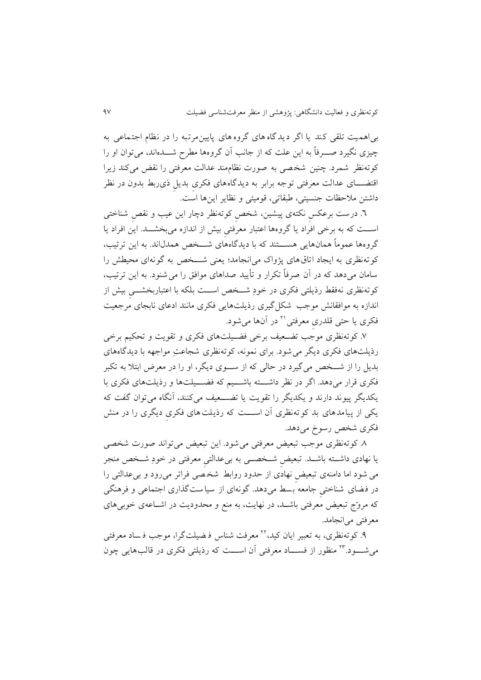بیاهمیت تلقی کند يا اگر ديدگاه های گروه های پايین مرتبه را در نظام اجتمایی به چیزی نگیرد صــــرفاً به این علت که از جانب آن گروهها مطرح شــــدهاند، میتوان او را کوتهنظر شمرد. چنین شخ صی به صورت نظام مند یدالت معرفتی را نقض میکند زيرا اقتضـــای عدالت معرفتی توجه برابر به ديدگاههای فکری بديل ذی ربط بدون در نظر داشتن مالحظات جنسیتی، طبقاتی، قومیتی و نظاير اينها است.

.8 درست بریکس نکته ی پیشین، شخص کوته نظر دچار اين یین و نقص شناختی استتت که به برخی افراد يا گروهها ایتبار معرفتی بیش از اندازه میبخشتتد. اين افراد يا گروهها یموماً همان هايی هستتتتند که با ديدگاه های شتتتخص همدکاند. به اين ترتین، کوته نظری به ايجاد اتاق های پژواک می انجامد؛ يعنی شتتتخص به گونه ای محیطش را سامان می دهد که در آن صرفاً تکرار و تأيید صداهای موافق را میش نود. به اين ترتین، کوتهنظری نهفقط رذيلتی فکری در خودِ شتتخص استتت بلکه با ایتباربخشتتی بیش از اندازه به موافقانش موجن شکل گیری رذيلتهايی فکری مانند ادیای نابجای مرجعیت فکری یا حتی قلدری معرفتی<sup>۲۱</sup> در آنها میشود.

۷. کوتهنظری موجب تضـعیف برخی فضـیلتهای فکری و تقویت و تحکیم برخی رذيلتهای فکری ديگر میشود. برای نمونه، کوته نظری شجایتِ مواجهه با ديدگاه های بديل را از شتتخص میگیرد در حالی که از ستتوی ديگر، او را در معرض ابتال به تکبر فکری قرار میدهد. اگر در نظر داشتته باشتیم که فضـــیلتها و رذیلتهای فکری با يکديگر پيوند دارند و يکديگر را تقويت يا تضـــعيف می کنند، آنگاه می توان گفت که يکی از پیامدهای بد کوته نظری آن استتتت که رذيلت های فکری ديگری را در منش فکری شخص رسوخ میدهد.

.6 کوتهنظری موجن تبعیض معرفتی میشود. اين تبعیض می تواند صورت ش خصی يا نهادی داشتتته باشتتد. تبعیض شتتخصتتی به بییدالتی معرفتی در خودِ شتتخص منجر می شود اما دامنه ی تبعیض نهادی از حدود روابط شخ صی فراتر می رود و بییدالتی را در فضای شناختی جامعه بسط می دهد. گونهای از سیاست گذاری اجتمایی و فرهنگی که مروّج تبعیض معرفتی باشتد، در نهايت، به منع و محدوديت در اشتایهی خوبیهای معرفتی میانجامد.

۹. کوتهنظری، به تعبیر ایان کید، <sup>۲۲</sup> معرفت شناس ف**نصیلت گرا، موجب ف**ساد معرفتی میشــــود.''' منظور از فســــاد معرفتی آن اســــت که رذیلتی فکری در قالب۵لیبی چون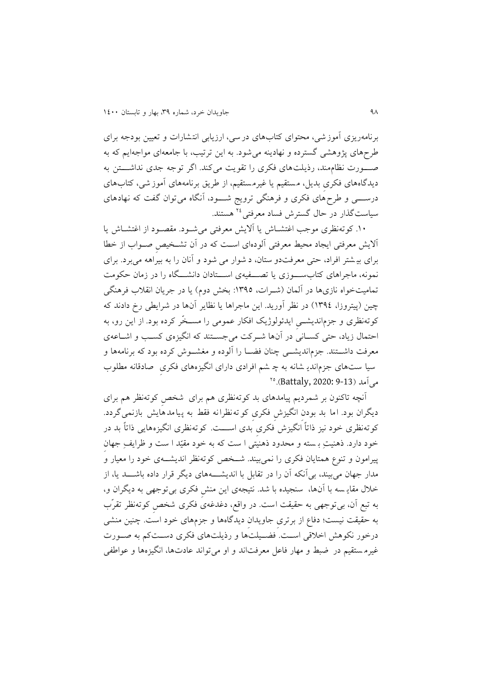برنامهريفی آموزشی، محتوای کتاب های درسی، ارزيابی انتشارات و تعیین بودجه برای طرحهای پژوهشی گسترده و نهادینه می شود. به این ترتیب، با جامعهای مواجهایم که به صـــورت نظام مند، رذيلت های فکری را تقويت میکند. اگر توجه جدی نداشـــتن به دیدگاههای فکری بدیل، مستقیم یا غیرمستقیم، از طریق برنامههای آموز شی، کتابهای درستتتی و طرحهای فکری و فرهنگی ترويج شتتتود، آنگاه می توان گفت که نهادهای سیاست گذار در حال گسترش فساد معرفتی <sup>1</sup> هستند.

.01 کوتهنظری موجن اغتشتاش يا آاليش معرفتی می شتود. مقصتود از اغتشتاش يا آاليش معرفتی ايجاد محیط معرفتی آلودهای استت که در آن تشتخیص صتواب از خطا برای بی شتر افراد، حتی معرفت دو س تان، د شوار می شود و آنان را به بیراهه می برد. برای نمونه، ماجراهای کتابستتتوزی يا تصتتتفیهی استتتتادان دانشتتتگاه را در زمان حکومت تمامیتخواه نازیها در آلمان (شـرات، ١٣٩٥: بخش دوم) يا در جريان انقلاب فرهنگی چین )پیتروزا، 0930( در نظر آوريد. اين ماجراها يا نظاير آنها در شرايطی رخ دادند که کوتهنظری و جفمانديشتتی ايدئولوکيک افکار یمومی را مستتخّر کرده بود. از اين رو، به احتمال زياد، حتی کســانی در آنها شــرکت میجســتند که انگیزهی کســب و اشــاعهی معرفت داشــتند. جزم|نديشـــی چنان فضـــا را آلوده و مغشـــوش کرده بود که برنامهها و سیا ستهای جزماندی شانه به چ شم افرادی دارای انگیزههای فکری صادقانه مطلوب میآمد (Battaly, 2020: 9-13). °<sup>۲</sup>

آنچه تاکنون بر شمردیم پیامدهای بد کوته نظری هم برای شخص کوته نظر هم برای ديگران بود. اما بد بودن انگيزش فکری کوته نظرانه فقط به پیامدهايش بازنمی گردد. کوته نظری خود نیز ذاتاً انگیزش فکری بدی اســـت. کوته نظری انگیزههایی ذاتاً بد در خود دارد. ذهنیتِ بـ سته و محدود ذهنیتی ا ست که به خود مقیّد ا ست و ظرایفِ جهان پیرامون و تنوع همتايان فکری را نمیبیند. شــخص کوتهنظر انديشــهی خود را معیار و مدار جهان می بیند، بی آنکه آن را در تقابل با اندیشـــــههای دیگر قرار داده باشــــد یا، از خالک مقاي سه با آن ها، سنجیده با شد. نتیجه ی اين منش فکری بیتوجهی به ديگران و، به تبع آن، بیتوجهی به حقیقت است. در واقع، دغدغه ی فکری شخص کوتهنظر تقرّب به حقیقت نیست؛ دفاع از برتری جاویدان دیدگاهها و جزمهای خود است. چنین منشی درخور نکوهش اخلاقی است. فضـيلتها و رذيلتهای فکری دسـتکم به صـورت غیرمستقیم در ضبط و مهار فاعل معرفتاند و او میتواند عادتها، انگیزهها و عواطفی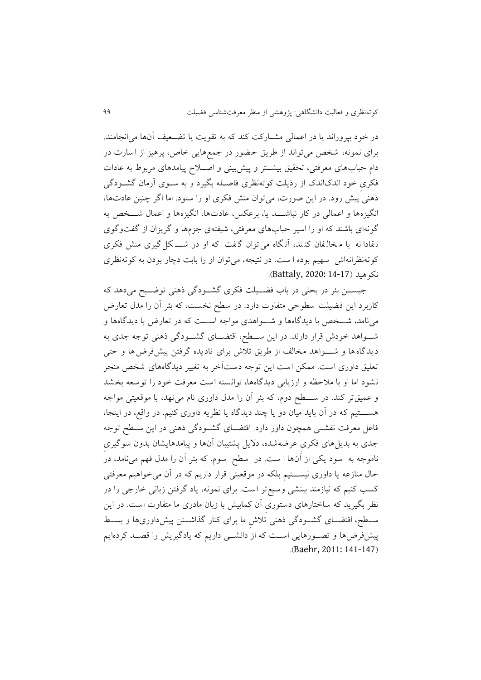در خود بپروراند يا در اعمالی مشــارکت کند که به تقويت يا تضــعيف آنها می|نجامند. برای نمونه، شخص می تواند از طريق حضور در جمع هايی خاص، پرهیف از اسارت در دام حبابهای معرفتی، تحقیق بیشتتر و پیشبینی و اصتلاح پیامدهای مربوط به عادات فکری خود اندکاندک از رذيلت کوتهنظری فاصتله بگیرد و به ستوی آرمان گشتودگی ذهنی پیش رود. در اين صورت، میتوان منش فکری او را ستود. اما اگر چنین یادتها، انگیزهها و اعمالی در کار نباشـــد يا، برعکس، عادتها، انگیزهها و اعمال شـــخص به گونهای باشند که او را اسیر حبابهای معرفتی، شیفتهی جفمها و گريفان از گفتوگوی ن قادا نه با م خال فان کن ند ، آن گاه می توان گ فت که او در شتتت کل گیری منش فکری کوتهنظرانهاش سهیم بوده ا ست. در نتیجه، می توان او را بابت دچار بودن به کوتهنظری نکوهید )14-17 2020: ,Battaly).

جیســن بئر در بحثی در باب فضــيلت فکری گشــودگی ذهنی توضــيح میدهد که کاربرد اين فضیلت سطوحی متفاوت دارد. در سطح نخست، که بئر آن را مدک تعارض مینامد، شتتخص با ديدگاهها و شتتواهدی مواجه استتت که در تعارض با ديدگاهها و شتتواهد خودش قرار دارند. در اين ستتطح، اقتضتتای گشتتودگی ذهنی توجه جدی به ديدگاه ها و شــواهد مخالف از طريق تلاش برای ناديده گرفتن پیشفرض ها و حتی تعلیق داوری است. ممکن است این توجه دستآخر به تغییر دیدگاههای شخص منجر نشود اما او با مالحظه و ارزيابی ديدگاه ها، توانسته است معرفت خود را توسعه بخشد و یمیقتر کند. در ستتتطح دوم، که بئر آن را مدک داوری نام می نهد، با موقعیتی مواجه هســــتیم که در آن بايد ميان دو يا چند ديدگاه يا نظريه داوری کنیم. در واقع، در اينجا، فایل معرفت نقشتتی همچون داور دارد. اقتضتتای گشتتودگی ذهنی در اين ستتطح توجه جدی به بديلهای فکری یرعه شده، داليل پشتیبان آن ها و پیامدهايشان بدون سوگیری ناموجه به سود يکی از آنها ا ست. در سطح سوم، که بئر آن را مدل فهم میiامد، در حال منازعه يا داوری نيســتيم بلکه در موقعيتی قرار داريم که در آن میخواهیم معرفتی کسب کنیم که نیازمند بینشی وسیع تر است. برای نمونه، یاد گرفتن زبانی خارجی را در نظر بگیرید که ساختارهای دستوری آن کمابیش با زبان مادری ما متفاوت است. در این ستتطح، اقتضتتای گشتتودگی ذهنی تالش ما برای کنار گذاشتتتن پیشداوریها و بستتط پیشفرضها و تصورهايی است که از دانشتی داريم که يادگیريش را قصـد کردهايم .(Baehr, 2011: 141-147)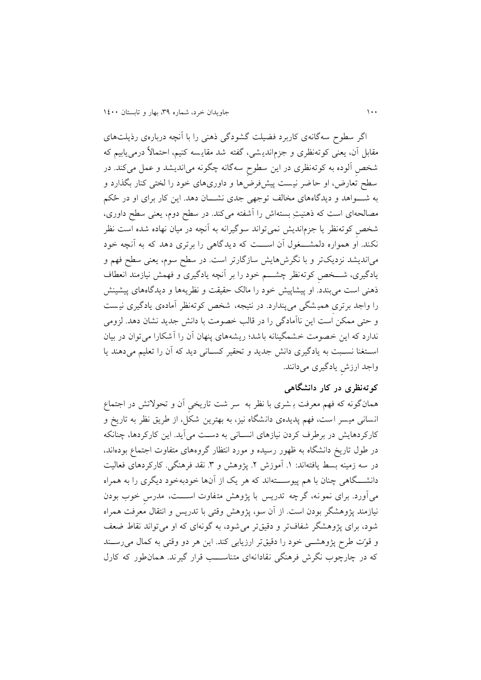اگر سطوح سه گانهی کاربرد فضیلت گشودگی ذهنی را با آنچه درباره ی رذيلتهای مقابل آن، يعنی کوتهنظری و جزمانديـشی، گفته شد مقايـسه کنيم، احتمالاً درمی1یبیم که شخص آلوده به کوته نظری در اين سطوح سه گانه چگونه میانديشد و یمل می کند. در سطح تعارض، او حاضر نیست پیشفررضها و داوریهای خود را لختی کنار بگذارد و به شـــواهد و ديدگاههای مخالف توجهی جدی نشـــان دهد. اين کار برای او در حُکم مصالحه ای است که ذهنیتِ بسته اش را آشفته می کند. در سطح دوم، يعنی سطح داوری، شخص کوتهنظر يا جزم|نديش نمیتواند سوگیرانه به آنچه در میان نهاده شده است نظر نکند. او همواره دلمشتخول آن استت که ديدگاهی را برتری دهد که به آنچه خود میانديشد نزديکتر و با نگرش،ايش سازگارتر است. در سطح سوم، يعنی سطح فهم و يادگیری، شتتتخص کوتهنظر چشتتت خود را بر آنچه يادگیری و فهمش نیازمند انعطاف ذهنی است می بندد. او پیشاپیش خود را مالک حقیقت و نظریهها و دیدگاههای پیشینش را واجد برتری همیشگی می پندارد. در نتیجه، شخص کوتهنظر آمادهی یادگیری نیست و حتی ممکن است اين ناآمادگی را در قالن خصومت با دانش جديد نشان دهد. لفومی ندارد که اين خصومت خشمگینانه باشد؛ ريشه های پنهان آن را آشکارا می توان در بیان استغنا نسـبت به يادگيری دانش جديد و تحقير كسـانی ديد كه آن را تعليم میدهند يا واجد ارزش يادگیری میدانند.

## **کوتهنظری در کار دانشگاهی**

همانگونه که فهم معرفت بـ شری با نظر به سر شت تاريخی آن و تحولاتش در اجتماع انسانی میسر است، فهم پديدهی دانشگاه نيز، به بهترين شکل، از طريق نظر به تاريخ و کارکردهايش در برطرف کردن نیازهای انستانی به دستت میآيد. اين کارکردها، چنانکه در طول تاريخ دانشگاه به ظهور رسيده و مورد انتظار گروههای متفاوت اجتماع بودهاند، در سه زمینه بسط یافته اند: ۱. آموزش ۲. پژوهش و ۳. نقد فرهنگی. کارکردهای فعالیت دانشـــگاهی چنان با هم پیوســـتهاند که هر يک از آنها خودبهخود ديگری را به همراه میآورد. برای نمونه، گرچه تدريس با پژوهش متفاوت اســـت، مدرس خوب بودن نیازمند پژوهشگر بودن است. از آن سو، پژوهش وقتی با تدريس و انتقاک معرفت همراه شود، برای پژوهشگر شفافتر و دقیقتر می شود، به گونهای که او میتواند نقاط ضعف و قوّت طرح پژوهشتی خود را دقیقتر ارزيابی کند. اين هر دو وقتی به کماک میرستند که در چارچوب نگرش فرهنگی نقادانهای متناســـب قرار گیرند. همان طور که کارل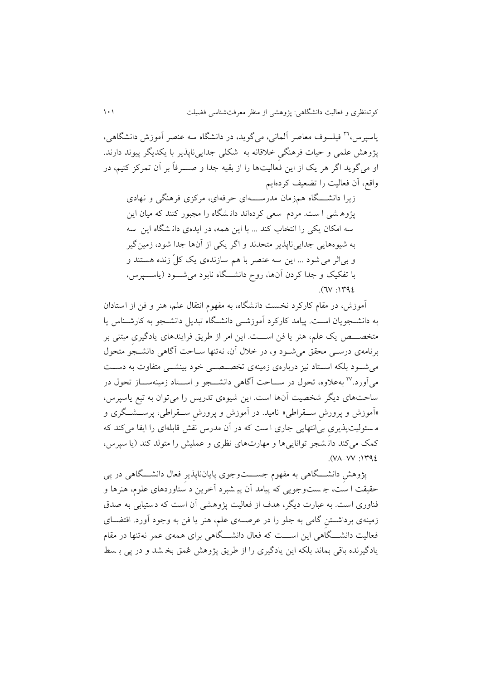18 ياسپرس ، فیلسوف معاصر آلمانی، میگويد، در دانشگاه سه ینصر آموزش دا نشگاهی ، پژوهش یلمی و حیات فرهنگی خالقانه به شکلی جدايی ناپذير با يکديگر پیوند دارند. او میگويد اگر هر يک از اين فعاليتها را از بقيه جدا و صــــرفاً بر آن تمرکز کنيم، در واقع، آن فعالیت را تضعیف کردهایم

زيرا دانشتگاه همزمان مدرستهای حرفهای، مرکزی فرهنگی و نهادی پژوه شی ا ست. مردم سعی کرده اند دان شگاه را مجبور کنند که میان اين سه امکان يکی را انتخاب کند ... با اين همه، در ايدهی دانشگاه اين سه به شیوههايی جدايیناپذير متحدند و اگر يکی از آنها جدا شود، زمینگیر و بی|ثر می شود ... اين سه عنصر با هم سازندهی يک کلّ زنده هستند و با تفکیک و جدا کردن آنها، روح دانشتتگاه نابود میشتتود )ياستتپرس،  $.1142$ 

آموزش، در مقام کارکرد نخست دانشگاه، به مفهوم انتقاک یل ، هنر و فن از استادان به دانشتجويان استت. پیامد کارکرد آموزشتی دانشتگاه تبديل دانشتجو به کارشتناس يا متخصـــص يک علم، هنر يا فن اســـت. اين امر از طريق فرايندهای يادگيری مبتنی بر برنامهی درستی محقق میشتود و، در خالک آن، نهتنها ستاحت آگاهی دانشتجو متحوک می شود بلکه استتاد نیز دربارهی زمینهی تخصـصـــی خود بینشـــی متفاوت به دســت میاورد.<sup>۲۷</sup> بهعلاوه، تحول در ســـاحت اگاهی دانشـــجو و اســـتاد زمینهســـاز تحول در ساحت های ديگر شخصیت آن ها است. اين شیوه ی تدريس را میتوان به تبع ياسپرس ، »آموزش و پرورش ستتقراطی« نامید. در آموزش و پرورش ستتقراطی، پرستتشتتگری و م سئولیت پذيری بیانتهايی جاری ا ست که در آن مدرس نقش قابله ای را ايفا میکند که کمک میکند دان شجو توانايیها و مهارتهای نظری و یملیش را متولد کند )يا سپرس،  $. (V \wedge -V V \cdot )Y92$ 

پژوهش دانشتتتگاهی به مفهوم جستتتتوجوی پايانناپذير فعاک دانشتتتگاهی در پی حقیقت ا ست، ج ست وجويی که پیامد آن پی شبرد آخرين د ستاوردهای یلوم، هنرها و فناوری است. به یبارت ديگر، هدف از فعالیت پژوه شی آن است که دستیابی به صدق زمینهی برداشــتن گامی به جلو را در عرصــهی علم، هنر یا فن به وجود آورد. اقتضــای فعالیت دانشـــگاهی این اســـت که فعال دانشـــگاهی برای همهی عمر نه تنها در مقام يادگیرنده باقی بماند بلکه اين يادگیری را از طريق پژوهش ی مق بخ شد و در پی ب سط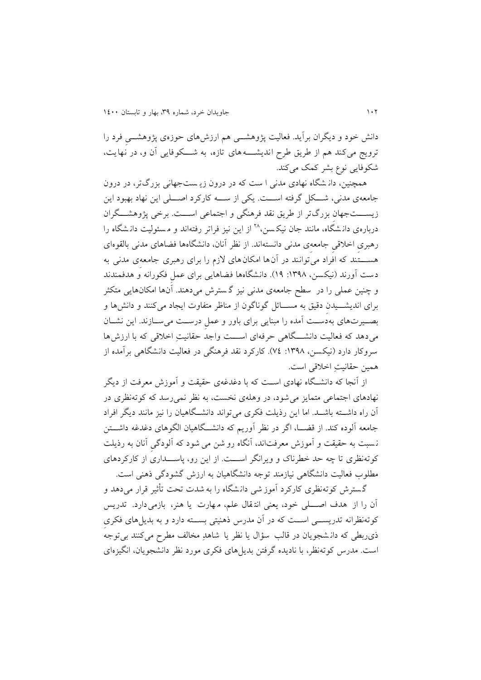دانش خود و ديگران برآيد. فعاليت پژوهشـــي هم ارزشهای حوزهی پژوهشـــی فرد را ترويج میکند هم از طريق طرح انديشــــه های تازه، به شـــکوفايی آن و، در نهايت، شکوفايی نوع بشر کمک میکند.

همچنین، دان شگاه نهادی مدنی ا ست که در درون زي ست جهانی بفرگتر، در درون جامعهی مدنی، شتتکل گرفته استتت. يکی از ستته کارکرد اصتتلی اين نهاد بهبود اين زيســـتجهان بزرگتر از طريق نقد فرهنگی و اجتماعی اســـت. برخی پژوهشـــگران دربارهی دانشگاه، مانند جان نیکسن،^` از این نیز فراتر رفتهاند و مسئولیت دانشگاه را رهبری اخلاقی جامعه ی مدنی دانستهاند. از نظر آنان، دانشگاهها فضاهای مدنی بالقوهای هستتتتند که افراد می توانند در آن ها امکان های الزم را برای رهبری جامعه ی مدنی به دست آورند (نیکسن، ۱۳۹۸: ۱۹). دانشگاهها فضاهایی برای عمل فکورانه و هدفمندند و چنین یملی را در سطح جامعه ی مدنی نیف گ سترش می دهند. آنها امکانهايی متکثر برای انديشتتیدن دقیق به مستتائل گوناگون از مناظر متفاوت ايجاد می کنند و دانشها و بصت وست های به دست آمده را مبنايی برای باور و عمل درست می ستازند. اين نشتان میدهد که فعالیت دانشتتتگاهی حرفه ای استتتت واجد حقانیتِ اخالقی که با ارزش ها سروکار دارد (نیکسن، ۱۳۹۸: ۷٤). کارکرد نقد فرهنگی در فعالیت دانشگاهی برآمده از همین حقانیتِ اخالقی است.

از آنجا که دانشتتگاه نهادی استتت که با دغدغهی حقیقت و آموزش معرفت از ديگر نهادهای اجتماعی متمایز می شود، در وهلهی نخست، به نظر نمی رسد که کوته نظری در آن راه داشتتته باشتتد. اما اين رذيلت فکری میتواند دانشتتگاهیان را نیف مانند ديگر افراد جامعه آلوده کند. از قضـا، اگر در نظر آوريم که دانشــگاهيان الگوهای دغدغه داشــتن ن سبت به حقیقت و آموزش معرفت اند، آنگاه رو شن می شود که آلودگی آنان به رذيلت کوته نظری تا چه حد خطرناک و ويرانگر اســـت. از اين رو، پاســـداری از کارکردهای مطلوب فعالیت دانشگاهی نیازمند توجه دانشگاهیان به ارزش گشودگی ذهنی است.

گ سترش کوته نظری کارکرد آموز شی دان شگاه را به شدت تحت تأثیر قرار می دهد و آن را از هدف اصتتتلی خود، يعنی انت قاک یل ، م هارت يا هنر، بازمی دارد. تدريس کوتهنظرانه تدريستتی استتت که در آن مدرس ذهنیتی بستتته دارد و به بديل های فکری ذی ربطی که دان شجویان در قالب سؤال يا نظر يا شاهدِ مخالف مطرح می کنند بی توجه است. مدرس کوتهنظر، با ناديده گرفتن بديل های فکری مورد نظر دانشجويان، انگيزهای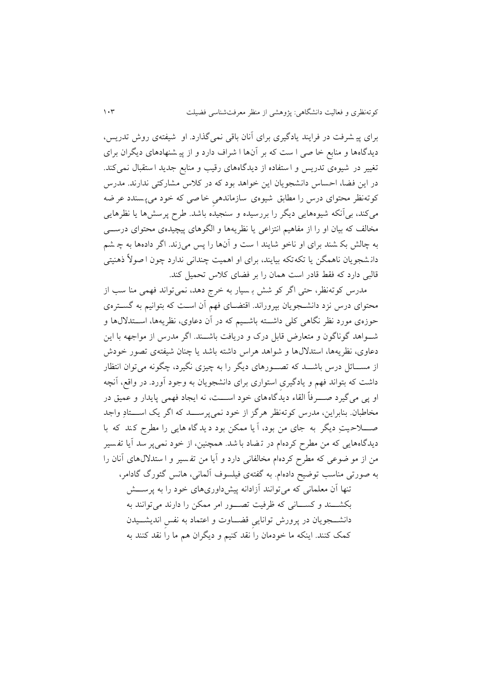برای پی شرفت در فرايند يادگیری برای آنان باقی نمیگذارد. او شیفته ی روش تدريس، ديدگاهها و منابع خا صی ا ست که بر آن ها ا شراف دارد و از پی شنهادهای ديگران برای تغییر در شیوهی تدریس و استفاده از دیدگاههای رقیب و منابع جدید استقبال نمی کند. در اين فضا، احساس دانشجويان اين خواهد بود که در کالس مشارکتی ندارند. مدرس کوتهنظر محتوای درس را مطابق شیوهی سازماندهی خاصی که خود می پسندد عر ضه میکند، بیآنکه شیوههایی دیگر را بررسیده و سنجیده باشد. طرح پرسشها یا نظرهایی مخالف که بیان او را از مفاهیم انتزاعی یا نظریهها و الگوهای پیچیدهی محتوای درستی به چالش بک شند برای او ناخو شايند ا ست و آن ها را پس میزند. اگر دادهها به چ ش دان شجويان ناهمگن يا تکه تکه بیايند، برای او اهمیت چندانی ندارد چون ا صوالً ذهنیتی قالبی دارد که فقط قادر است همان را بر فضای کالس تحمیل کند.

مدرس کوتهنظر، حتی اگر کو شش ب سیار به خر ج دهد، نمیتواند فهمی منا سن از محتوای درس نزد دانشـجويان بپروراند. اقتضـای فهم آن اسـت که بتوانیم به گسـترهی حوزهی مورد نظر نگاهی کلی داشتتته باشتتی که در آن دیاوی، نظريه ها، استتتدالکها و شتتواهد گوناگون و متعارض قابل درک و دريافت باشتتند. اگر مدرس از مواجهه با اين دیاوی، نظريهها، استدالک ها و شواهد هراس داشته باشد يا چنان شیفتهی تصور خودش از مســـائل درس باشـــد که تصـــورهای ديگر را به چیزی نگیرد، چگونه می توان انتظار داشت که بتواند فهم و يادگيری استواری برای دانشجويان به وجود آورد. در واقع، آنچه او پی میگیرد صـــــرفاً القاء ديدگاههای خود اســـــت، نه ايجاد فهمی پايدار و عمیق در مخاطبان. بنابراين، مدرس کوته نظر هرگز از خود نمیپرســـد که اگر يک اســـتادِ واجد صــــلاحـيتِ ديگر به جای من بود، آ يا ممکن بود د يد گاه هايی را مطرح کند که با ديدگاههايی که من مطرح کردهام در ت ضاد با شد. همچنین، از خود نمیپر سد آيا تف سیر من از مو ضوعی که مطرح کردهام مخالفانی دارد و آيا من تفسير و ا ستدلال های آنان را به صورتی مناسن توعیح دادهام. به گفتهی فیلسوف آلمانی، هانس گئورگ گادامر، تنها آن معلمانی که میتوانند آزادانه پیشداوریهای خود را به پرستتش

بکشتتند و کستتانی که ظرفیت تصتتور امر ممکن را دارند میتوانند به دانشـــجويان در پرورش توانايی قضـــاوت و اعتماد به نفس انديشـــيدن کمک کنند. اينکه ما خودمان را نقد کنيم و ديگران هم ما را نقد کنند به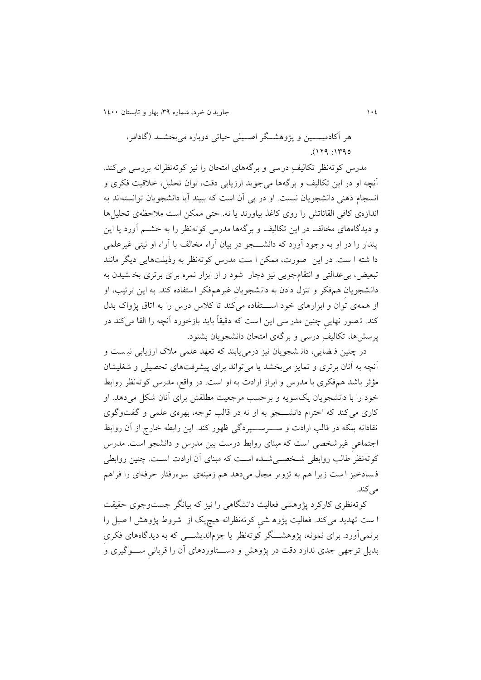010 جاويدان خرد، شماره ،93 بهار و تابستان 0011

هر آکادمیستتین و پژوهشتتگر اصتتیلی حیاتی دوباره می بخشتتد )گادامر،  $0.119$ : 1790

مدرس کوتهنظر تکالیف ِ درسی و برگههای امتحان را نیز کوتهنظرانه بررسی می کند. آنچه او در اين تکاليف و برگهها می جويد ارزيابی دقت، توان تحليل، خلاقيت فکری و انسجام ذهنی دانشجويان نیست. او در پی آن است که ببیند آيا دانشجويان توانسته اند به اندازهی کافی القائاتش را روی کاغذ بیاورند يا نه. حتی ممکن است مالحظهی تحلیلها و ديدگاههای مخالف در اين تکاليف و برگهها مدرس کوتهنظر را به خشــم آورد يا اين پندار را در او به وجود آورد که دانشــــجو در بیان آراء مخالف با آراء او نیتی غیرعلمی دا شته ا ست. در اين صورت، ممکن ا ست مدرس کوته نظر به رذيلتهايی ديگر مانند تبعیض، بی عدالتی و انتقامجویی نیز دچار شود و از ابزار نمره برای برتری بخ شیدن به دانشجويان هم فکر و تنزل دادن به دانشجويان غیرهم فکر استفاده کند. به اين ترتیب، او از همه ی توان و ابزارهای خود استتفاده می کند تا کلاس درس را به اتاق پژواک بدل کند. تصور نهايی چنين مدر سی اين است که دقیقاً بايد بازخورد آنچه را القا میکند در پرسشها، تکالیفِ درسی و برگهی امتحان دانشجویان بشنود.

در چنین فه عایی، دان شجویان نیز درمی یابند که تعهد علمی ملاک ارزیابی نیست و آنچه به آنان برتری و تمايز میبخشد يا میتواند برای پیشرفتهای تحصیلی و شغلیشان مؤثر باشد هم،فکری با مدرس و ابراز ارادت به او است. در واقع، مدرس کوتهنظر روابط خود را با دانشجويان يک سويه و برحسب مرجعيت مطلقش برای آنان شکل می دهد. او کاری می کند که احترام دانشتتتجو به او نه در قالن توجه، بهرهی یلمی و گفت وگوی نقادانه بلکه در قالن ارادت و ستتترستتتپردگی ظهور کند. اين رابطه خارج از آن روابط اجتمایی غیرشخصی است که مبنای روابط درست بین مدرس و دانشجو است . مدرس کوتهنظر طالن روابطی شتخصتیشتده استت که مبنای آن ارادت استت. چنین روابطی فسادخیز ا ست زیرا هم به تزویر مجال میدهد هم زمینهی سوءرفتار حرفهای را فراهم می کند.

کوتهنظری کارکرد پژوهشی فعالیت دانشگاهی را نیز که بیانگر جستوجوی حقیقت ا ست تهديد می کند. فعالیت پژوه شی کوته نظرانه هیچيک از شروب پژوهش ا صیل را برنمیآورد. برای نمونه، پژوهشـــگر کوته نظر يا جزمانديشــــی که به ديدگاههای فکری بديل توجهی جدی ندارد دقت در پژوهش و دستتتتاوردهای آن را قربانی ستتتوگیری و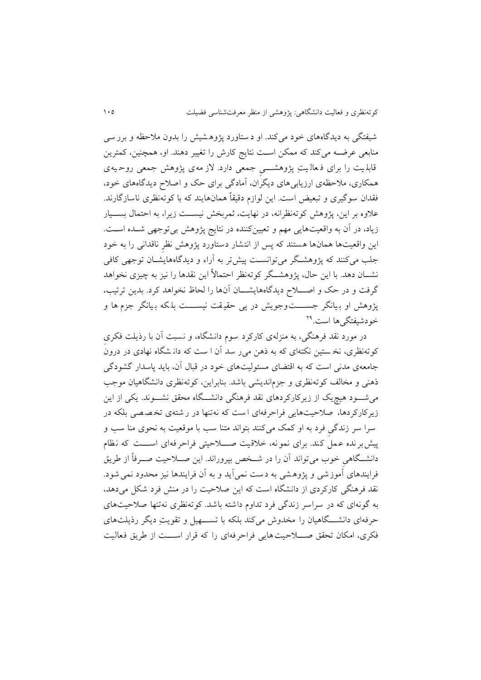شیفتگی به ديدگاه های خود میکند. او د ستاورد پژوه شیش را بدون مالحظه و برر سی منابعی عرضــه میکند که ممکن اســت نتايج کارش را تغییر دهند. او، همچنین، کمترین قابل یت را برای ف عال یتِ پژوهشــــی جمعی دارد. لاز مه ی پژوهش جمعی روحیه ی همکاری، مالحظهی ارزيابیهای ديگران، آمادگی برای حک و اصالح ديدگاه های خود، فقدان سوگیری و تبعیض است. اين لوازم دقیقاً همان هايند که با کوتهنظری ناساز گارند. علاوه بر اين، پژوهش کوتهنظرانه، در نهايت، ثمربخش نيســت زيرا، به احتمال بســيار زياد، در آن به واقعیتهايی مهم و تعیینکننده در نتايج پژوهش بیتوجهی شــده اســت. اين واقعیتها همانها هستند که پس از انتشار دستاورد پژوهش نظر ناقدانی را به خود جلن میکنند که پژوهشتگر میتوانستت پیشتر به آراء و ديدگاههايشتان توجهی کافی نشــان دهد. با اين حال، پژوهشــگر کوتهنظر احتمالاً اين نقدها را نيز به چيزی نخواهد گرفت و در حک و اصــــلاح ديدگاههايشــــان آنها را لحاظ نخواهد کرد. بدين ترتيب، پژوهش او بیانگر جســــتوجویش در پی حقیقت نیســـت بلکه بیانگر جزم ها و خودشیفتگیها است.<sup>۲۹</sup>

در مورد نقد فرهنگی، به منفلهی کارکرد سوم دانشگاه، و نسبت آن با رذيلت فکری کوتهنظری، نخ ستین نکتهای که به ذهن می ر سد آن ا ست که دان شگاه نهادی در درون جامعهی مدنی است که به اقتضای مسئولیتهای خود در قباک آن، بايد پاسدار گشودگی ذهنی و مخالف کوتهنظری و جزمانديشی باشد. بنابراين، کوتهنظری دانشگاهیان موجب میشتتود هیچيک از زيرکارکردهای نقد فرهنگی دانشتتگاه محقق نشتتوند. يکی از اين زيرکارکردها، صالحیت هايی فراحرفهای ا ست که نهتنها در ر شته ی تخ ص صی بلکه در سرا سر زندگی فرد به او کمک میکنند بتواند متنا سن با موقعیت به نحوی منا سن و پیش برنده عمل کند. برای نمونه، خلاقیت صـــلاحیتی فراحرفه ای اســـت که نظام دانشتتگاهی خوب میتواند آن را در شتتخص بپروراند. اين صتتالحیت صتترفاً از طريق فرايندهای آموزشی و پژوهشی به دست نمی آيد و به آن فرايندها نيز محدود نمی شود. نقد فرهنگی کارکردی از دانشگاه است که اين صالحیت را در منش فرد شکل می دهد، به گونهای که در سراسر زندگی فرد تداوم داشته باشد. کوتهنظری نهتنها صالحیت های حرفه ای دانشتتتگاهیان را مخدوش می کند بلکه با تستتتهیل و تقويتِ ديگر رذيلت های فکری، امکان تحقق صــــلاحیت هايی فراحرفهای را که قرار اســـت از طريق فعالیت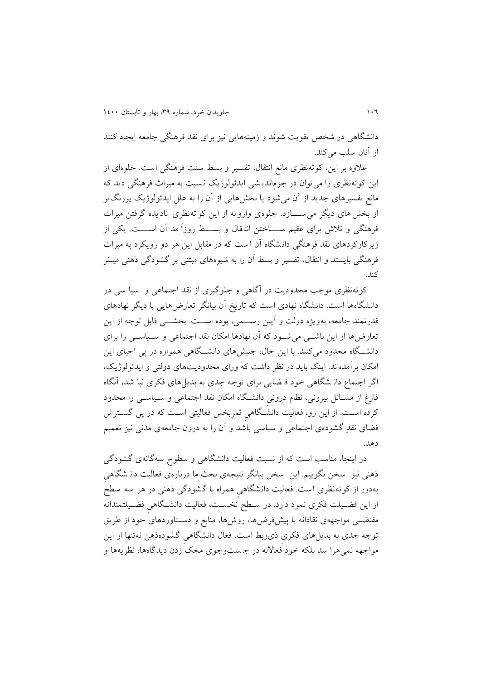دانشگاهی در شخص تقويت شوند و زمینههايی نیف برای نقد فرهنگی جامعه ايجاد کنند از آنان سلب می کند.

یالوه بر اين، کوتهنظری مانع انتقاک، تفسیر و بسط سنت فرهنگی است. جلوه ای از اين کوتهنظری را میتوان در جزمانديشی ايدئولوژيک نسبت به ميراث فرهنگی ديد که مانع تفسیرهای جديد از آن میشود يا بخشهايی از آن را به یلل ايدئولوکيک پررنگتر از بخشهای ديگر می ستتتازد. جلوهی وارونه از اين کوته نظری ناديده گرفتن میراث فرهنگی و تلاش برای عقیم ســـــاختن انتقال و بســــط روزاً مد آن اســـــت. يکی از زيرکارکردهای نقد فرهنگی دان شگاه آن ا ست که در مقابل اين هر دو رويکرد به میراث فرهنگی بايستد و انتقاک، تفسیر و بسط آن را به شیوههای مبتنی بر گشودگی ذهنی میسّر کند.

کوتهنظری موجن محدوديت در آگاهی و جلوگیری از نقد اجتمایی و سیا سی در دانشگاه ها است. دانشگاه نهادی است که تاريخ آن بیانگر تعارض هايی با ديگر نهادهای قدرتمند جامعه، بهويژه دولت و آيین رستتمی، بوده استتت. بخشتتی قابل توجه از اين تعارضها از اين ناشتتی میشتتود که آن نهادها امکان نقد اجتمایی و ستتیاستتی را برای دانشتتگاه محدود میکنند. با اين حاک، جنبشهای دانشتتگاهی همواره در پی احیای اين امکان برآمدهاند. اينک بايد در نظر داشت که ورای محدوديتهای دولتی و ايدئولوکيک، اگر اجتماع دان شگاهی خود ف ضايی برای توجه جدی به بديل های فکری نبا شد، آنگاه فارغ از مســائل بیرونی، نظام درونی دانشـگاه امکان نقد اجتماعی و ســیاســی را محدود کرده استت. از اين رو، فعالیت دانشتگاهی ثمربخش فعالیتی استت که در پی گستترش فضای نقدِ گشودهی اجتماعی و سیاسی باشد و آن را به درون جامعهی مدنی نیز تعمیم دهد.

در اينجا، مناسن است که از نسبت فعالیت دانشگاهی و سطوح سه گانهی گشو دگی ذهنی نیز سخن بگوییم. این سخن بیانگر نتیجهی بحث ما دربارهی فعالیت دانـشگاهی بهدور از کوتهنظری است. فعالیت دانشگاهی همراه با گشودگی ذهنی در هر سه سطح از اين فضتیلت فکری نمود دارد. در ستطح نخستت، فعالیت دانشتگاهی فضتیلتمندانه مقتضتی مواجههی نقادانه با پیشفرضها، روشها، منابع و دستتاوردهای خود از طريق توجه جدی به بديلهای فکری ذیربط است. فعاک دانشگاهی گشوده ذهن نهتنها از اين مواجهه نمیهرا سد بلکه خود فعاالنه در ج ست وجوی محک زدن ديدگاهها، نظريهها و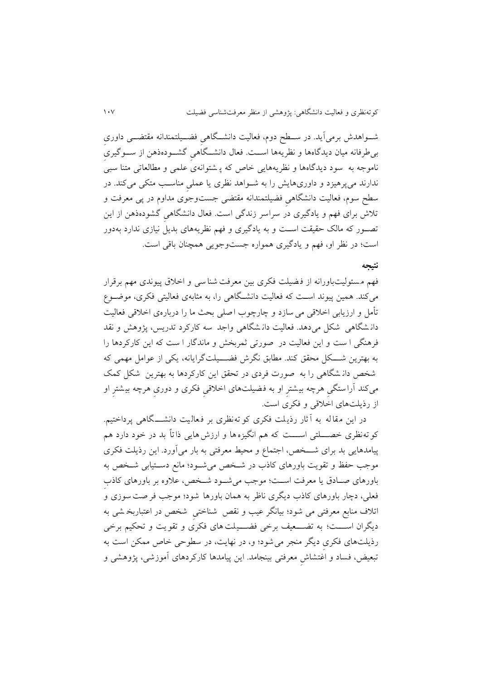شتتواهدش برمیآيد. در ستتطح دوم، فعالیت دانشتتگاهی فضتتیلتمندانه مقتضتتی داوری بیطرفانه میان ديدگاهها و نظريهها استتت. فعاک دانشتتگاهی گشتتوده ذهن از ستتوگیری ناموجه به سود دیدگاهها و نظریههایی خاص که پـ شتوانهی علمی و مطالعاتی متنا سبی ندارند میپرهیزد و داوریهایش را به شــواهد نظری یا عملی مناسـب متکی میکند. در سطح سوم، فعالیت دانشگاهی فضیلتمندانه مقتضی جستوجوی مداوم در پی معرفت و تلاش برای فهم و يادگيری در سراسر زندگی است. فعال دانشگاهی گشودهذهن از اين تصـور که مالک حقیقت اسـت و به يادگیری و فهم نظريههای بديل نیازی ندارد بهدور است؛ در نظر او، فهم و يادگيری همواره جستوجويی همچنان باقی است.

#### **نتیجه**

فهم مسئولیتباورانه از فضیلت فکری بین معرفت شنا سی و اخلاق پیوندی مهم برقرار میکند. همین پیوند استت که فعالیت دانشتگاهی را، به مثابهی فعالیتی فکری، موعتوال تأمل و ارزيابی اخالقی میسازد و چارچوب اصلی بحث ما را درباره ی اخالقی فعالیت دان شگاهی شکل می دهد. فعالیت دان شگاهی واجد سه کارکرد تدريس، پژوهش و نقد فرهنگی ا ست و اين فعالیت در صورتی ثمربخش و ماندگار ا ست که اين کارکردها را به بهترين شتتتکل محقق کند. مطابق نگرش فضتتتیلت گرايانه، يکی از یوامل مهمی که شخص دان شگاهی را به صورت فردی در تحقق اين کارکردها به بهترين شکل کمک میکند آراستگی هرچه بیشتر او به فضیلت های اخالقی فکری و دوری هرچه بیشتر ا و از رذيلتهای اخالقی و فکری است.

در اين مقاله به آ ثار رذيلت فکری کو ته نظری بر فعاليت دانشـــگاهی پرداختیم. کو ته نظری خصــــلتی اســــت که هم انگیزهها و ارزش هایی ذاتاً بد در خود دارد هم پیامدهایی بد برای شــخص، اجتماع و محیط معرفتی به بار میآورد. این رذیلت فکری موجن حفظ و تقويت باورهای کاذب در شتخص میشتود؛ مانع دستتیابی شتخص به باورهای صـادق يا معرفت اسـت؛ موجب می شـود شـخص، علاوه بر باورهای کاذب فعلی، دچار باورهای کاذب ديگری ناظر به همان باورها شود؛ موجب فر صت سوزی و اتالف منابع معرفتی می شود ؛ بیانگر یین و نقص شناختی شخص در ایتباربخ شی به ديگران اســـت؛ به تضـــعیف برخی فضـــيلت های فکری و تقويت و تحکیم برخی رذيلتهای فکری ديگر منجر میشود؛ و، در نهايت، در سطوحی خاص ممکن است به تبعیض، فساد و اغتشاش معرفتی بینجامد. اين پیامدها کارکردهای آموزشی، پژوهشی و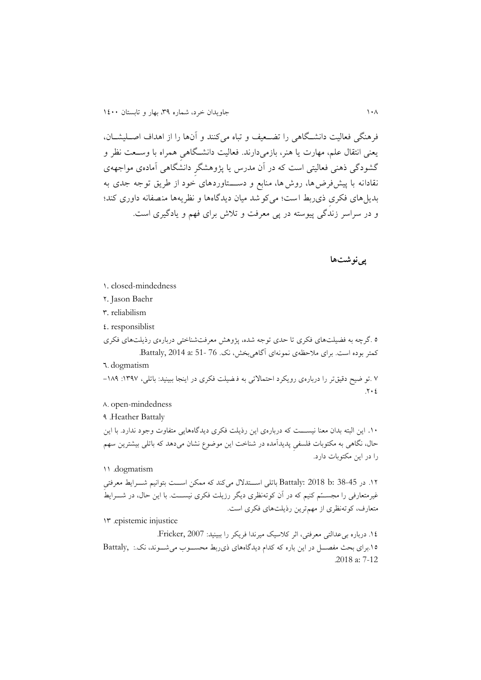فرهنگی فعالیت دانشتگاهی را تضعیف و تباه میکنند و آنها را از اهداف اصـلیشــان، يعنی انتقال علم، مهارت يا هنر، بازمیدارند. فعالیت دانشگاهی همراه با وسـعت نظر و گشودگی ذهنی فعالیتی است که در آن مدرس يا پژوهشگر دانشگاهی آمادهی مواجههی نقادانه با پیش فرضها، روش ها، منابع و دستتتتاوردهای خود از طريق توجه جدی به بديل های فکری ذی ربط است؛ می کو شد میان ديدگاهها و نظريهها منصفانه داوری کند؛ و در سراسر زندگی پیوسته در پی معرفت و تلاش برای فهم و يادگيری است.

**پینوشتها**

- 0. closed-mindedness
- 1. Jason Baehr
- 9. reliabilism
- $\mathfrak{c}$ . responsiblist

5 .گرچه به فضیلتهای فکری تا حدی توجه شده، پژوهش معرفتشناختی دربارهی رذيلتهای فکری کمتر بوده است. برای ملاحظهی نمونهای آگاهیبخش، نک. 76 -51 Battaly, 2014 a: 51. 8. dogmatism

8 .تو ضیح دقیقتر را دربارهی رویکرد احتمالاتی به ف ضیلت فکری در اینجا ببینید: باتلی، ۱۳۹۷: ۱۸۹- $.111$ 

6. open-mindedness

3 .Heather Battaly

١٠. اين البته بدان معنا نيســـت که دربارهى اين رذيلت فکرى ديدگاههايى متفاوت وجود ندارد. با اين حال، نگاهی به مکتوبات فلسفی پديدآمده در شناخت اين موضوع نشان میدهد که باتلی بیشترين سهم را در اين مکتوبات دارد.

00 .dogmatism

۱۲. در 35-38 Battaly: 2018 b: باتلی استتدلال می کند که ممکن اســت بتوانیم شـــرايط معرفتی غیرمتعارفی را مجســـّم کنیم که در آن کوتهنظری دیگر رزیلت فکری نیســـت. با این حال، در شــــرايطُ متعارف، کوتهنظری از مه ترين رذيلتهای فکری است.

09 .epistemic injustice

.00 درباره بییدالتی معرفتی، اثر کالسیک میرندا فريکر را ببینید: 2007 ,Fricker. .05برای بحث مفصتتل در اين باره که کدام ديدگاههای ذیربط محستتوب میشتتوند، نک:. ,Battaly .2018 a: 7-12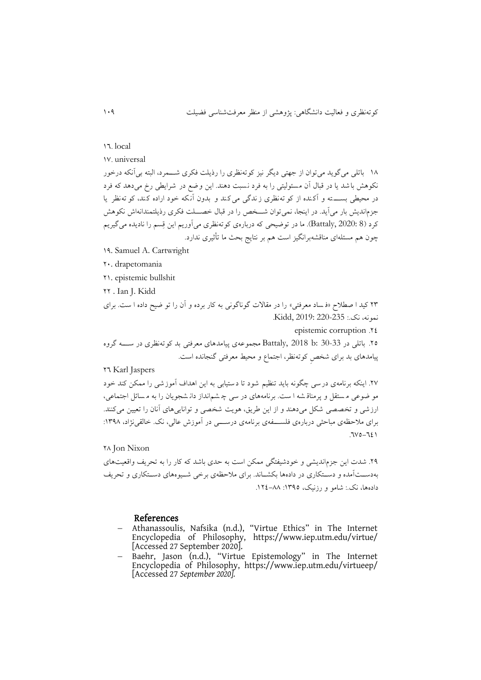#### 17. local

08. universal

06 باتلی میگويد میتوان از جهتی ديگر نیف کوتهنظری را رذيلت فکری شتتمرد، البته بیآنکه درخور نکوهش باشد يا در قباک آن مسئولیتی را به فرد نسبت دهند. اين وعع در شرايطی رخ می دهد که فرد در محیطی بسته و آکنده از کو ته نظری ز ندگی می کند و بدون آنکه خود اراده کند، کو ته نظر يا جزمانديش بار می آيد. در اينجا، نمی توان شـــخص را در قبال خصـــلت فکری رذيلتمندانهاش نکوهش کرد (8 Battaly, 2020: 8). ما در توضیحی که دربارهی کوتهنظری میآوريم اين قِسم را ناديده میگیريم چون هم مسئلهای مناقشهبرانگیز است هم بر نتايج بحث ما تأثیری ندارد.

- 03. Samuel A. Cartwright
- 11. drapetomania
- 10. epistemic bullshit
- 11 . Ian J. Kidd

19 کید ا صطالح »ف ساد معرفتی « را در مقاالت گوناگونی به کار برده و آن را تو عیح داده ا ست. برای نمونه، نک:. 220-235 2019: ,Kidd.

epistemic corruption .\*\*

.15 باتلی در 30-33 :b 2018 ,Battaly مجمویه ی پیامدهای معرفتی بد کوته نظری در ستتته گروه پیامدهای بد برای شخص کوتهنظر، اجتماع و محیط معرفتی گنجانده است.

18 Karl Jaspers

۲۷. اينکه برنامهی درسی چگونه بايد تنظيم شود تا دستيابی به اين اهداف آموزشی را ممکن کند خود مو ضوعی مستقل و پرمناق شه ا ست. برنامههای در سی چ شمانداز دان شجویان را به مسائل اجتماعی، ارزشی و تخصصی شکل می دهند و از اين طريق، هويت شخصی و توانايی های آنان را تعیین میکنند. برای ملاحظه ی مباحثی درباره ی فلســــفه ی برنامه ی درســـــی در آموزش عالی، نک. خالقی نژاد، ۱۳۹۸:  $.37-0.71$ 

16 Jon Nixon

٢٩. شدت اين جزم انديشی و خودشیفتگی ممکن است به حدی باشد که کار را به تحريف واقعیتهای به دستآمده و دستکاری در دادهها بکشـاند. برای ملاحظهی برخی شـیوههای دسـتکاری و تحريف دادهها، نک: شامو و رزنیک، ١٣٩٥: ٨٨–١٢٤.

### References

- Athanassoulis, Nafsika (n.d.), "Virtue Ethics" in The Internet Encyclopedia of Philosophy, https://www.iep.utm.edu/virtue/ [Accessed 27 September 2020].
- Baehr, Jason (n.d.), "Virtue Epistemology" in The Internet Encyclopedia of Philosophy, https://www.iep.utm.edu/virtueep/ [Accessed 27 *September 2020].*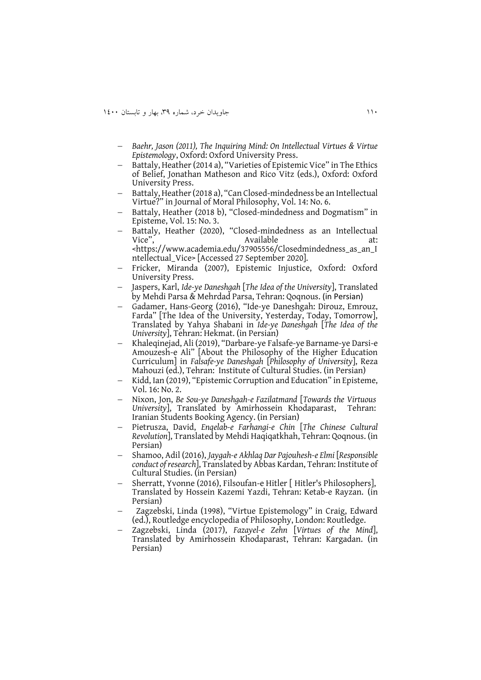- *Baehr, Jason (2011), The Inquiring Mind: On Intellectual Virtues & Virtue Epistemology*, Oxford: Oxford University Press.
- Battaly, Heather (2014 a), "Varieties of Epistemic Vice" in The Ethics of Belief, Jonathan Matheson and Rico Vitz (eds.), Oxford: Oxford University Press.
- Battaly, Heather (2018 a), "Can Closed-mindedness be an Intellectual Virtue?" in Journal of Moral Philosophy, Vol. 14: No. 6.
- Battaly, Heather (2018 b), "Closed-mindedness and Dogmatism" in Episteme, Vol. 15: No. 3.
- Battaly, Heather (2020), "Closed-mindedness as an Intellectual Vice", at: Vice", Available at: <https://www.academia.edu/37905556/Closedmindedness\_as\_an\_I ntellectual\_Vice> [Accessed 27 September 2020].
- Fricker, Miranda (2007), Epistemic Injustice, Oxford: Oxford University Press.
- Jaspers, Karl, *Ide-ye Daneshgah* [*The Idea of the University*], Translated by Mehdi Parsa & Mehrdad Parsa, Tehran: Qoqnous. (in Persian)
- Gadamer, Hans-Georg (2016), "Ide-ye Daneshgah: Dirouz, Emrouz, Farda" [The Idea of the University, Yesterday, Today, Tomorrow], Translated by Yahya Shabani in *Ide-ye Daneshgah* [*The Idea of the University*], Tehran: Hekmat. (in Persian)
- Khaleqinejad, Ali (2019), "Darbare-ye Falsafe-ye Barname-ye Darsi-e Amouzesh-e Ali" [About the Philosophy of the Higher Education Curriculum] in *Falsafe-ye Daneshgah* [*Philosophy of University*], Reza Mahouzi (ed.), Tehran: Institute of Cultural Studies. (in Persian)
- Kidd, Ian (2019), "Epistemic Corruption and Education" in Episteme, Vol. 16: No. 2.
- Nixon, Jon, *Be Sou-ye Daneshgah-e Fazilatmand* [*Towards the Virtuous University*], Translated by Amirhossein Khodaparast, Tehran: Iranian Students Booking Agency. (in Persian)
- Pietrusza, David, *Enqelab-e Farhangi-e Chin* [*The Chinese Cultural Revolution*], Translated by Mehdi Haqiqatkhah, Tehran: Qoqnous. (in Persian)
- Shamoo, Adil (2016), *Jaygah-e Akhlaq Dar Pajouhesh-e Elmi* [*Responsible conduct of research*], Translated by Abbas Kardan, Tehran: Institute of Cultural Studies. (in Persian)
- Sherratt, Yvonne (2016), Filsoufan-e Hitler [Hitler's Philosophers], Translated by Hossein Kazemi Yazdi, Tehran: Ketab-e Rayzan. (in Persian)
- Zagzebski, Linda (1998), "Virtue Epistemology" in Craig, Edward (ed.), Routledge encyclopedia of Philosophy, London: Routledge.
- Zagzebski, Linda (2017), *Fazayel-e Zehn* [*Virtues of the Mind*], Translated by Amirhossein Khodaparast, Tehran: Kargadan. (in Persian)